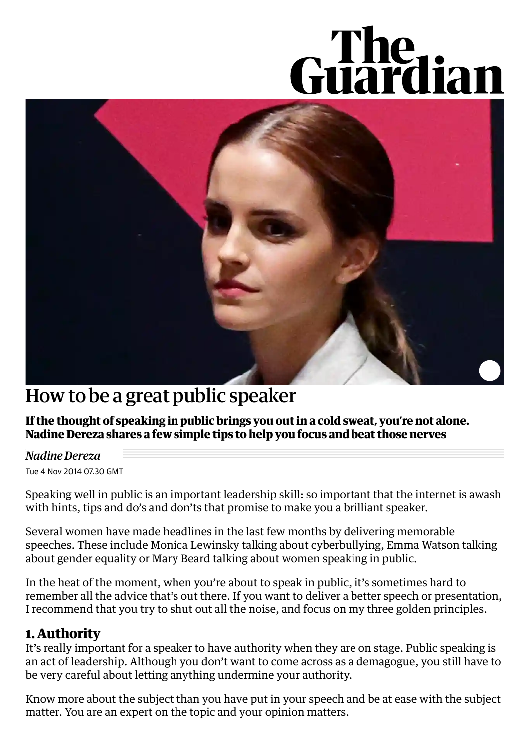# Guardian



## How to be a great public speaker

**If the thought of speaking in public brings you out in a cold sweat, you're not alone. Nadine Dereza shares a few simple tips to help you focus and beat those nerves**

#### *Nadine Dereza*

Tue 4 Nov 2014 07.30 GMT

Speaking well in public is an important leadership skill: so important that the internet is awash with hints, tips and do's and don'ts that promise to make you a brilliant speaker.

Several women have made headlines in the last few months by delivering memorable speeches. These include Monica Lewinsky talking about [cyberbullying](https://www.theguardian.com/society/video/2014/oct/21/monica-lewinsky-cyberbullying-victim-video)[,](https://www.theguardian.com/film/video/2014/sep/22/emma-watson-gender-sexism-heforshe-un-speech-video) Emma Watson talking about gender equality or Mary Beard talking about women [speaking](http://www.lrb.co.uk/v36/n06/mary-beard/the-public-voice-of-women) in public.

In the heat of the moment, when you're about to speak in public, it's sometimes hard to remember all the advice that's out there. If you want to deliver a better speech or presentation, I recommend that you try to shut out all the noise, and focus on my three golden principles.

#### **1. Authority**

It's really important for a speaker to have authority when they are on stage. Public speaking is an act of leadership. Although you don't want to come across as a demagogue, you still have to be very careful about letting anything undermine your authority.

Know more about the subject than you have put in your speech and be at ease with the subject matter. You are an expert on the topic and your opinion matters.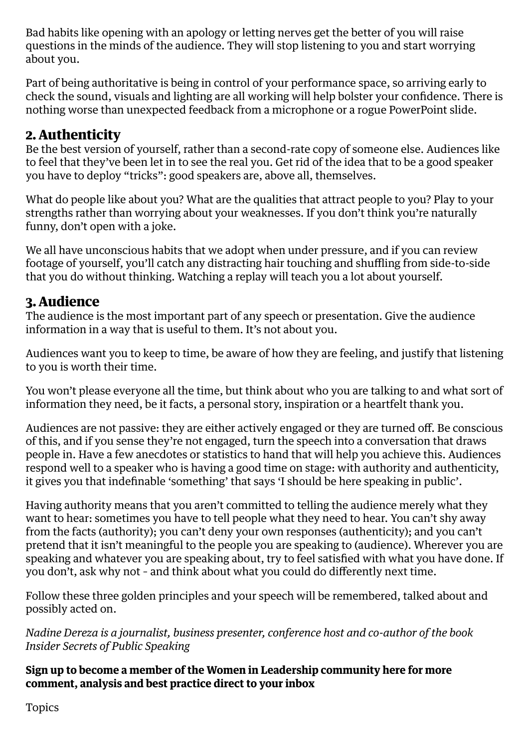Bad habits like opening with an apology or letting nerves get the better of you will raise questions in the minds of the audience. They will stop listening to you and start worrying about you.

Part of being authoritative is being in control of your performance space, so arriving early to check the sound, visuals and lighting are all working will help bolster your confidence. There is nothing worse than unexpected feedback from a microphone or a rogue PowerPoint slide.

### **2. Authenticity**

Be the best version of yourself, rather than a second-rate copy of someone else. Audiences like to feel that they've been let in to see the real you. Get rid of the idea that to be a good speaker you have to deploy "tricks": good speakers are, above all, themselves.

What do people like about you? What are the qualities that attract people to you? Play to your strengths rather than worrying about your weaknesses. If you don't think you're naturally funny, don't open with a joke.

We all have unconscious habits that we adopt when under pressure, and if you can review footage of yourself, you'll catch any distracting hair touching and shuffling from side-to-side that you do without thinking. Watching a replay will teach you a lot about yourself.

#### **3. Audience**

The audience is the most important part of any speech or presentation. Give the audience information in a way that is useful to them. It's not about you.

Audiences want you to keep to time, be aware of how they are feeling, and justify that listening to you is worth their time.

You won't please everyone all the time, but think about who you are talking to and what sort of information they need, be it facts, a personal story, inspiration or a heartfelt thank you.

Audiences are not passive: they are either actively engaged or they are turned off. Be conscious of this, and if you sense they're not engaged, turn the speech into a conversation that draws people in. Have a few anecdotes or statistics to hand that will help you achieve this. Audiences respond well to a speaker who is having a good time on stage: with authority and authenticity, it gives you that indefinable 'something' that says 'I should be here speaking in public'.

Having authority means that you aren't committed to telling the audience merely what they want to hear: sometimes you have to tell people what they need to hear. You can't shy away from the facts (authority); you can't deny your own responses (authenticity); and you can't pretend that it isn't meaningful to the people you are speaking to (audience). Wherever you are speaking and whatever you are speaking about, try to feel satisfied with what you have done. If you don't, ask why not – and think about what you could do differently next time.

Follow these three golden principles and your speech will be remembered, talked about and possibly acted on.

*Nadine Dereza is a journalist, business presenter, conference host and co-author of the book Insider Secrets of Public [Speaking](http://www.presentationskillsprogrammes.co.uk/insider-secrets-public-speaking/)*

**Sign up to become a member of the Women in Leadership [community](https://register.theguardian.com/women-in-leadership/register/) here for more comment, analysis and best practice direct to your inbox**

Topics